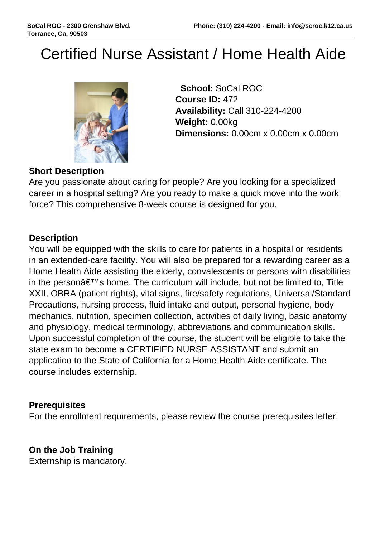# Certified Nurse Assistant / Home Health Aide



 **School:** SoCal ROC **Course ID:** 472 **Availability:** Call 310-224-4200 **Weight:** 0.00kg **Dimensions:** 0.00cm x 0.00cm x 0.00cm

## **Short Description**

Are you passionate about caring for people? Are you looking for a specialized career in a hospital setting? Are you ready to make a quick move into the work force? This comprehensive 8-week course is designed for you.

### **Description**

You will be equipped with the skills to care for patients in a hospital or residents in an extended-care facility. You will also be prepared for a rewarding career as a Home Health Aide assisting the elderly, convalescents or persons with disabilities in the person $\hat{a} \in \mathbb{N}$ s home. The curriculum will include, but not be limited to, Title XXII, OBRA (patient rights), vital signs, fire/safety regulations, Universal/Standard Precautions, nursing process, fluid intake and output, personal hygiene, body mechanics, nutrition, specimen collection, activities of daily living, basic anatomy and physiology, medical terminology, abbreviations and communication skills. Upon successful completion of the course, the student will be eligible to take the state exam to become a CERTIFIED NURSE ASSISTANT and submit an application to the State of California for a Home Health Aide certificate. The course includes externship.

### **Prerequisites**

For the enrollment requirements, please review the course prerequisites letter.

### **On the Job Training**

Externship is mandatory.